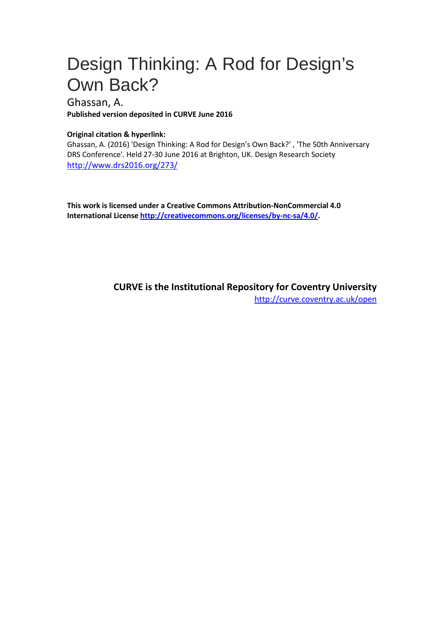# Design Thinking: A Rod for Design's Own Back?

#### Ghassan, A.

**Published version deposited in CURVE June 2016**

#### **Original citation & hyperlink:**

Ghassan, A. (2016) 'Design Thinking: A Rod for Design's Own Back?' , 'The 50th Anniversary DRS Conference'. Held 27-30 June 2016 at Brighton, UK. Design Research Society <http://www.drs2016.org/273/>

**This work is licensed under a Creative Commons Attribution-NonCommercial 4.0 International License [http://creativecommons.org/licenses/by-nc-sa/4.0/.](http://creativecommons.org/licenses/by-nc-sa/4.0/)**

> **CURVE is the Institutional Repository for Coventry University** <http://curve.coventry.ac.uk/open>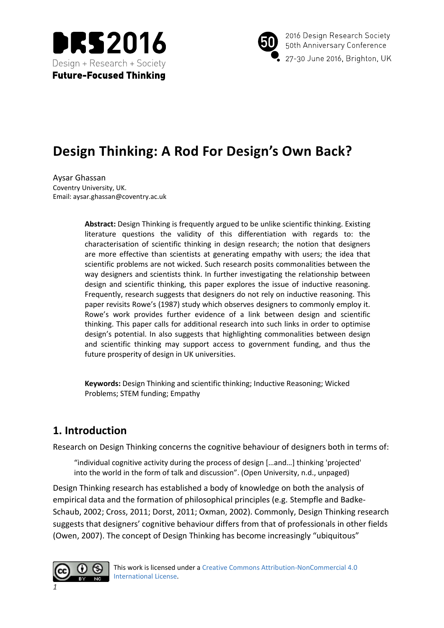



2016 Design Research Society 50th Anniversary Conference 27-30 June 2016, Brighton, UK

## **Design Thinking: A Rod For Design's Own Back?**

Aysar Ghassan Coventry University, UK. Email: aysar.ghassan@coventry.ac.uk

> **Abstract:** Design Thinking is frequently argued to be unlike scientific thinking. Existing literature questions the validity of this differentiation with regards to: the characterisation of scientific thinking in design research; the notion that designers are more effective than scientists at generating empathy with users; the idea that scientific problems are not wicked. Such research posits commonalities between the way designers and scientists think. In further investigating the relationship between design and scientific thinking, this paper explores the issue of inductive reasoning. Frequently, research suggests that designers do not rely on inductive reasoning. This paper revisits Rowe's (1987) study which observes designers to commonly employ it. Rowe's work provides further evidence of a link between design and scientific thinking. This paper calls for additional research into such links in order to optimise design's potential. In also suggests that highlighting commonalities between design and scientific thinking may support access to government funding, and thus the future prosperity of design in UK universities.

**Keywords:** Design Thinking and scientific thinking; Inductive Reasoning; Wicked Problems; STEM funding; Empathy

### **1. Introduction**

Research on Design Thinking concerns the cognitive behaviour of designers both in terms of:

"individual cognitive activity during the process of design […and…] thinking 'projected' into the world in the form of talk and discussion". (Open University, n.d., unpaged)

Design Thinking research has established a body of knowledge on both the analysis of empirical data and the formation of philosophical principles (e.g. Stempfle and Badke-Schaub, 2002; Cross, 2011; Dorst, 2011; Oxman, 2002). Commonly, Design Thinking research suggests that designers' cognitive behaviour differs from that of professionals in other fields (Owen, 2007). The concept of Design Thinking has become increasingly "ubiquitous"

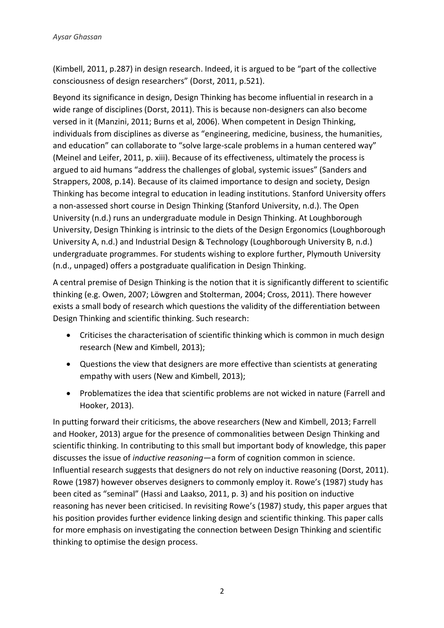(Kimbell, 2011, p.287) in design research. Indeed, it is argued to be "part of the collective consciousness of design researchers" (Dorst, 2011, p.521).

Beyond its significance in design, Design Thinking has become influential in research in a wide range of disciplines (Dorst, 2011). This is because non-designers can also become versed in it (Manzini, 2011; Burns et al, 2006). When competent in Design Thinking, individuals from disciplines as diverse as "engineering, medicine, business, the humanities, and education" can collaborate to "solve large-scale problems in a human centered way" (Meinel and Leifer, 2011, p. xiii). Because of its effectiveness, ultimately the process is argued to aid humans "address the challenges of global, systemic issues" (Sanders and Strappers, 2008, p.14). Because of its claimed importance to design and society, Design Thinking has become integral to education in leading institutions. Stanford University offers a non-assessed short course in Design Thinking (Stanford University, n.d.). The Open University (n.d.) runs an undergraduate module in Design Thinking. At Loughborough University, Design Thinking is intrinsic to the diets of the Design Ergonomics (Loughborough University A, n.d.) and Industrial Design & Technology (Loughborough University B, n.d.) undergraduate programmes. For students wishing to explore further, Plymouth University (n.d., unpaged) offers a postgraduate qualification in Design Thinking.

A central premise of Design Thinking is the notion that it is significantly different to scientific thinking (e.g. Owen, 2007; Löwgren and Stolterman, 2004; Cross, 2011). There however exists a small body of research which questions the validity of the differentiation between Design Thinking and scientific thinking. Such research:

- Criticises the characterisation of scientific thinking which is common in much design research (New and Kimbell, 2013);
- Questions the view that designers are more effective than scientists at generating empathy with users (New and Kimbell, 2013);
- Problematizes the idea that scientific problems are not wicked in nature (Farrell and Hooker, 2013).

In putting forward their criticisms, the above researchers (New and Kimbell, 2013; Farrell and Hooker, 2013) argue for the presence of commonalities between Design Thinking and scientific thinking. In contributing to this small but important body of knowledge, this paper discusses the issue of *inductive reasoning*—a form of cognition common in science. Influential research suggests that designers do not rely on inductive reasoning (Dorst, 2011). Rowe (1987) however observes designers to commonly employ it. Rowe's (1987) study has been cited as "seminal" (Hassi and Laakso, 2011, p. 3) and his position on inductive reasoning has never been criticised. In revisiting Rowe's (1987) study, this paper argues that his position provides further evidence linking design and scientific thinking. This paper calls for more emphasis on investigating the connection between Design Thinking and scientific thinking to optimise the design process.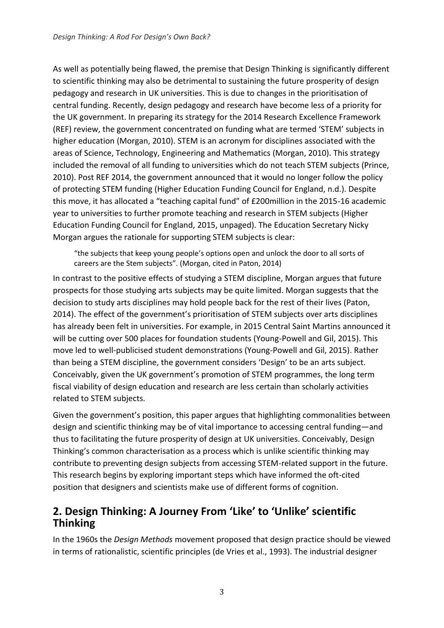As well as potentially being flawed, the premise that Design Thinking is significantly different to scientific thinking may also be detrimental to sustaining the future prosperity of design pedagogy and research in UK universities. This is due to changes in the prioritisation of central funding. Recently, design pedagogy and research have become less of a priority for the UK government. In preparing its strategy for the 2014 Research Excellence Framework (REF) review, the government concentrated on funding what are termed 'STEM' subjects in higher education (Morgan, 2010). STEM is an acronym for disciplines associated with the areas of Science, Technology, Engineering and Mathematics (Morgan, 2010). This strategy included the removal of all funding to universities which do not teach STEM subjects (Prince, 2010). Post REF 2014, the government announced that it would no longer follow the policy of protecting STEM funding (Higher Education Funding Council for England, n.d.). Despite this move, it has allocated a "teaching capital fund" of £200million in the 2015-16 academic year to universities to further promote teaching and research in STEM subjects (Higher Education Funding Council for England, 2015, unpaged). The Education Secretary Nicky Morgan argues the rationale for supporting STEM subjects is clear:

"the subjects that keep young people's options open and unlock the door to all sorts of careers are the Stem subjects". (Morgan, cited in Paton, 2014)

In contrast to the positive effects of studying a STEM discipline, Morgan argues that future prospects for those studying arts subjects may be quite limited. Morgan suggests that the decision to study arts disciplines may hold people back for the rest of their lives (Paton, 2014). The effect of the government's prioritisation of STEM subjects over arts disciplines has already been felt in universities. For example, in 2015 Central Saint Martins announced it will be cutting over 500 places for foundation students (Young-Powell and Gil, 2015). This move led to well-publicised student demonstrations (Young-Powell and Gil, 2015). Rather than being a STEM discipline, the government considers 'Design' to be an arts subject. Conceivably, given the UK government's promotion of STEM programmes, the long term fiscal viability of design education and research are less certain than scholarly activities related to STEM subjects.

Given the government's position, this paper argues that highlighting commonalities between design and scientific thinking may be of vital importance to accessing central funding—and thus to facilitating the future prosperity of design at UK universities. Conceivably, Design Thinking's common characterisation as a process which is unlike scientific thinking may contribute to preventing design subjects from accessing STEM-related support in the future. This research begins by exploring important steps which have informed the oft-cited position that designers and scientists make use of different forms of cognition.

#### **2. Design Thinking: A Journey From 'Like' to 'Unlike' scientific Thinking**

In the 1960s the *Design Methods* movement proposed that design practice should be viewed in terms of rationalistic, scientific principles (de Vries et al., 1993). The industrial designer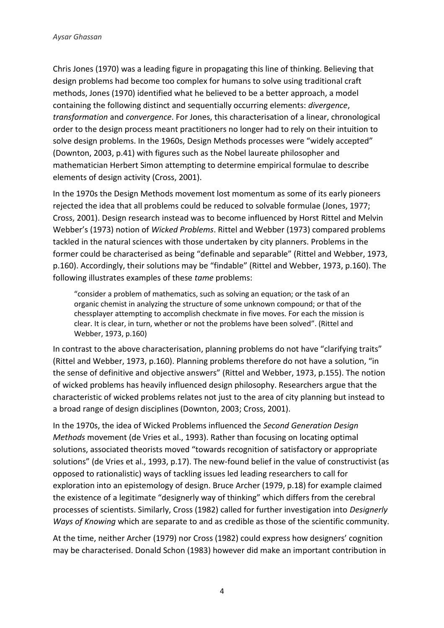Chris Jones (1970) was a leading figure in propagating this line of thinking. Believing that design problems had become too complex for humans to solve using traditional craft methods, Jones (1970) identified what he believed to be a better approach, a model containing the following distinct and sequentially occurring elements: *divergence*, *transformation* and *convergence*. For Jones, this characterisation of a linear, chronological order to the design process meant practitioners no longer had to rely on their intuition to solve design problems. In the 1960s, Design Methods processes were "widely accepted" (Downton, 2003, p.41) with figures such as the Nobel laureate philosopher and mathematician Herbert Simon attempting to determine empirical formulae to describe elements of design activity (Cross, 2001).

In the 1970s the Design Methods movement lost momentum as some of its early pioneers rejected the idea that all problems could be reduced to solvable formulae (Jones, 1977; Cross, 2001). Design research instead was to become influenced by Horst Rittel and Melvin Webber's (1973) notion of *Wicked Problems*. Rittel and Webber (1973) compared problems tackled in the natural sciences with those undertaken by city planners. Problems in the former could be characterised as being "definable and separable" (Rittel and Webber, 1973, p.160). Accordingly, their solutions may be "findable" (Rittel and Webber, 1973, p.160). The following illustrates examples of these *tame* problems:

"consider a problem of mathematics, such as solving an equation; or the task of an organic chemist in analyzing the structure of some unknown compound; or that of the chessplayer attempting to accomplish checkmate in five moves. For each the mission is clear. It is clear, in turn, whether or not the problems have been solved". (Rittel and Webber, 1973, p.160)

In contrast to the above characterisation, planning problems do not have "clarifying traits" (Rittel and Webber, 1973, p.160). Planning problems therefore do not have a solution, "in the sense of definitive and objective answers" (Rittel and Webber, 1973, p.155). The notion of wicked problems has heavily influenced design philosophy. Researchers argue that the characteristic of wicked problems relates not just to the area of city planning but instead to a broad range of design disciplines (Downton, 2003; Cross, 2001).

In the 1970s, the idea of Wicked Problems influenced the *Second Generation Design Methods* movement (de Vries et al., 1993). Rather than focusing on locating optimal solutions, associated theorists moved "towards recognition of satisfactory or appropriate solutions" (de Vries et al., 1993, p.17). The new-found belief in the value of constructivist (as opposed to rationalistic) ways of tackling issues led leading researchers to call for exploration into an epistemology of design. Bruce Archer (1979, p.18) for example claimed the existence of a legitimate "designerly way of thinking" which differs from the cerebral processes of scientists. Similarly, Cross (1982) called for further investigation into *Designerly Ways of Knowing* which are separate to and as credible as those of the scientific community.

At the time, neither Archer (1979) nor Cross (1982) could express how designers' cognition may be characterised. Donald Schon (1983) however did make an important contribution in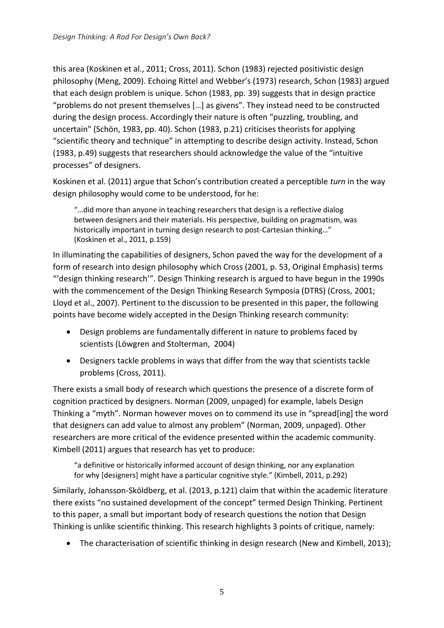this area (Koskinen et al., 2011; Cross, 2011). Schon (1983) rejected positivistic design philosophy (Meng, 2009). Echoing Rittel and Webber's (1973) research, Schon (1983) argued that each design problem is unique. Schon (1983, pp. 39) suggests that in design practice "problems do not present themselves […] as givens". They instead need to be constructed during the design process. Accordingly their nature is often "puzzling, troubling, and uncertain" (Schön, 1983, pp. 40). Schon (1983, p.21) criticises theorists for applying "scientific theory and technique" in attempting to describe design activity. Instead, Schon (1983, p.49) suggests that researchers should acknowledge the value of the "intuitive processes" of designers.

Koskinen et al. (2011) argue that Schon's contribution created a perceptible *turn* in the way design philosophy would come to be understood, for he:

"…did more than anyone in teaching researchers that design is a reflective dialog between designers and their materials. His perspective, building on pragmatism, was historically important in turning design research to post-Cartesian thinking…" (Koskinen et al., 2011, p.159)

In illuminating the capabilities of designers, Schon paved the way for the development of a form of research into design philosophy which Cross (2001, p. 53, Original Emphasis) terms "'design thinking research'". Design Thinking research is argued to have begun in the 1990s with the commencement of the Design Thinking Research Symposia (DTRS) (Cross, 2001; Lloyd et al., 2007). Pertinent to the discussion to be presented in this paper, the following points have become widely accepted in the Design Thinking research community:

- Design problems are fundamentally different in nature to problems faced by scientists (Löwgren and Stolterman, 2004)
- Designers tackle problems in ways that differ from the way that scientists tackle problems (Cross, 2011).

There exists a small body of research which questions the presence of a discrete form of cognition practiced by designers. Norman (2009, unpaged) for example, labels Design Thinking a "myth". Norman however moves on to commend its use in "spread[ing] the word that designers can add value to almost any problem" (Norman, 2009, unpaged). Other researchers are more critical of the evidence presented within the academic community. Kimbell (2011) argues that research has yet to produce:

"a definitive or historically informed account of design thinking, nor any explanation for why [designers] might have a particular cognitive style." (Kimbell, 2011, p.292)

Similarly, Johansson‐Sköldberg, et al. (2013, p.121) claim that within the academic literature there exists "no sustained development of the concept" termed Design Thinking. Pertinent to this paper, a small but important body of research questions the notion that Design Thinking is unlike scientific thinking. This research highlights 3 points of critique, namely:

The characterisation of scientific thinking in design research (New and Kimbell, 2013);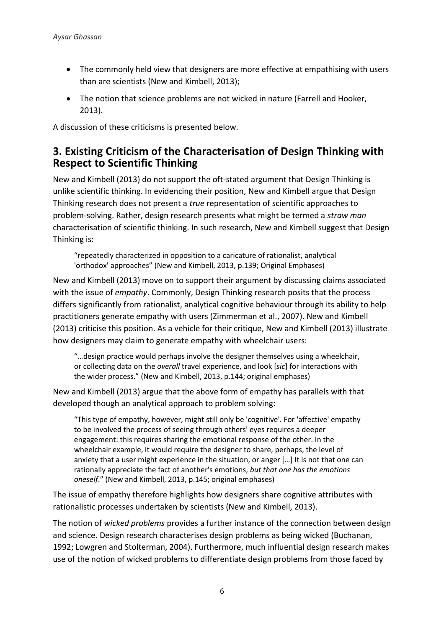- The commonly held view that designers are more effective at empathising with users than are scientists (New and Kimbell, 2013);
- The notion that science problems are not wicked in nature (Farrell and Hooker, 2013).

A discussion of these criticisms is presented below.

#### **3. Existing Criticism of the Characterisation of Design Thinking with Respect to Scientific Thinking**

New and Kimbell (2013) do not support the oft-stated argument that Design Thinking is unlike scientific thinking. In evidencing their position, New and Kimbell argue that Design Thinking research does not present a *true* representation of scientific approaches to problem-solving. Rather, design research presents what might be termed a *straw man* characterisation of scientific thinking. In such research, New and Kimbell suggest that Design Thinking is:

"repeatedly characterized in opposition to a caricature of rationalist, analytical 'orthodox' approaches" (New and Kimbell, 2013, p.139; Original Emphases)

New and Kimbell (2013) move on to support their argument by discussing claims associated with the issue of *empathy*. Commonly, Design Thinking research posits that the process differs significantly from rationalist, analytical cognitive behaviour through its ability to help practitioners generate empathy with users (Zimmerman et al., 2007). New and Kimbell (2013) criticise this position. As a vehicle for their critique, New and Kimbell (2013) illustrate how designers may claim to generate empathy with wheelchair users:

"…design practice would perhaps involve the designer themselves using a wheelchair, or collecting data on the *overall* travel experience, and look [*sic*] for interactions with the wider process." (New and Kimbell, 2013, p.144; original emphases)

New and Kimbell (2013) argue that the above form of empathy has parallels with that developed though an analytical approach to problem solving:

"This type of empathy, however, might still only be 'cognitive'. For 'affective' empathy to be involved the process of seeing through others' eyes requires a deeper engagement: this requires sharing the emotional response of the other. In the wheelchair example, it would require the designer to share, perhaps, the level of anxiety that a user might experience in the situation, or anger […] It is not that one can rationally appreciate the fact of another's emotions, *but that one has the emotions oneself*." (New and Kimbell, 2013, p.145; original emphases)

The issue of empathy therefore highlights how designers share cognitive attributes with rationalistic processes undertaken by scientists (New and Kimbell, 2013).

The notion of *wicked problems* provides a further instance of the connection between design and science. Design research characterises design problems as being wicked (Buchanan, 1992; Lowgren and Stolterman, 2004). Furthermore, much influential design research makes use of the notion of wicked problems to differentiate design problems from those faced by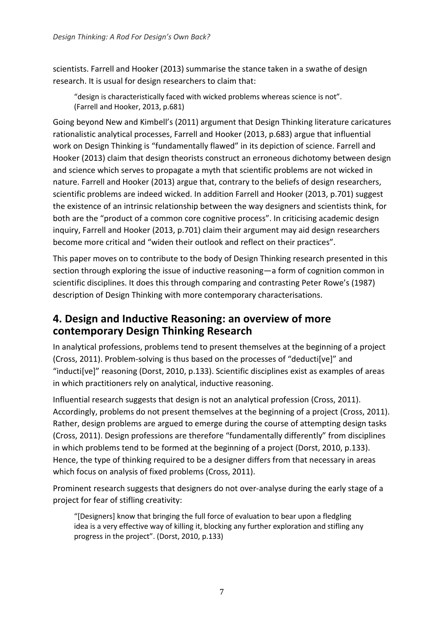scientists. Farrell and Hooker (2013) summarise the stance taken in a swathe of design research. It is usual for design researchers to claim that:

"design is characteristically faced with wicked problems whereas science is not". (Farrell and Hooker, 2013, p.681)

Going beyond New and Kimbell's (2011) argument that Design Thinking literature caricatures rationalistic analytical processes, Farrell and Hooker (2013, p.683) argue that influential work on Design Thinking is "fundamentally flawed" in its depiction of science. Farrell and Hooker (2013) claim that design theorists construct an erroneous dichotomy between design and science which serves to propagate a myth that scientific problems are not wicked in nature. Farrell and Hooker (2013) argue that, contrary to the beliefs of design researchers, scientific problems are indeed wicked. In addition Farrell and Hooker (2013, p.701) suggest the existence of an intrinsic relationship between the way designers and scientists think, for both are the "product of a common core cognitive process". In criticising academic design inquiry, Farrell and Hooker (2013, p.701) claim their argument may aid design researchers become more critical and "widen their outlook and reflect on their practices".

This paper moves on to contribute to the body of Design Thinking research presented in this section through exploring the issue of inductive reasoning—a form of cognition common in scientific disciplines. It does this through comparing and contrasting Peter Rowe's (1987) description of Design Thinking with more contemporary characterisations.

#### **4. Design and Inductive Reasoning: an overview of more contemporary Design Thinking Research**

In analytical professions, problems tend to present themselves at the beginning of a project (Cross, 2011). Problem-solving is thus based on the processes of "deducti[ve]" and "inducti[ve]" reasoning (Dorst, 2010, p.133). Scientific disciplines exist as examples of areas in which practitioners rely on analytical, inductive reasoning.

Influential research suggests that design is not an analytical profession (Cross, 2011). Accordingly, problems do not present themselves at the beginning of a project (Cross, 2011). Rather, design problems are argued to emerge during the course of attempting design tasks (Cross, 2011). Design professions are therefore "fundamentally differently" from disciplines in which problems tend to be formed at the beginning of a project (Dorst, 2010, p.133). Hence, the type of thinking required to be a designer differs from that necessary in areas which focus on analysis of fixed problems (Cross, 2011).

Prominent research suggests that designers do not over-analyse during the early stage of a project for fear of stifling creativity:

"[Designers] know that bringing the full force of evaluation to bear upon a fledgling idea is a very effective way of killing it, blocking any further exploration and stifling any progress in the project". (Dorst, 2010, p.133)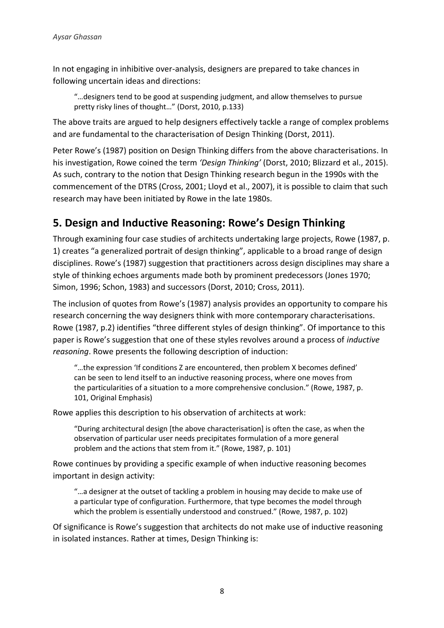In not engaging in inhibitive over-analysis, designers are prepared to take chances in following uncertain ideas and directions:

"…designers tend to be good at suspending judgment, and allow themselves to pursue pretty risky lines of thought…" (Dorst, 2010, p.133)

The above traits are argued to help designers effectively tackle a range of complex problems and are fundamental to the characterisation of Design Thinking (Dorst, 2011).

Peter Rowe's (1987) position on Design Thinking differs from the above characterisations. In his investigation, Rowe coined the term *'Design Thinking'* (Dorst, 2010; Blizzard et al., 2015). As such, contrary to the notion that Design Thinking research begun in the 1990s with the commencement of the DTRS (Cross, 2001; Lloyd et al., 2007), it is possible to claim that such research may have been initiated by Rowe in the late 1980s.

#### **5. Design and Inductive Reasoning: Rowe's Design Thinking**

Through examining four case studies of architects undertaking large projects, Rowe (1987, p. 1) creates "a generalized portrait of design thinking", applicable to a broad range of design disciplines. Rowe's (1987) suggestion that practitioners across design disciplines may share a style of thinking echoes arguments made both by prominent predecessors (Jones 1970; Simon, 1996; Schon, 1983) and successors (Dorst, 2010; Cross, 2011).

The inclusion of quotes from Rowe's (1987) analysis provides an opportunity to compare his research concerning the way designers think with more contemporary characterisations. Rowe (1987, p.2) identifies "three different styles of design thinking". Of importance to this paper is Rowe's suggestion that one of these styles revolves around a process of *inductive reasoning*. Rowe presents the following description of induction:

"…the expression 'If conditions Z are encountered, then problem X becomes defined' can be seen to lend itself to an inductive reasoning process, where one moves from the particularities of a situation to a more comprehensive conclusion." (Rowe, 1987, p. 101, Original Emphasis)

Rowe applies this description to his observation of architects at work:

"During architectural design [the above characterisation] is often the case, as when the observation of particular user needs precipitates formulation of a more general problem and the actions that stem from it." (Rowe, 1987, p. 101)

Rowe continues by providing a specific example of when inductive reasoning becomes important in design activity:

"…a designer at the outset of tackling a problem in housing may decide to make use of a particular type of configuration. Furthermore, that type becomes the model through which the problem is essentially understood and construed." (Rowe, 1987, p. 102)

Of significance is Rowe's suggestion that architects do not make use of inductive reasoning in isolated instances. Rather at times, Design Thinking is: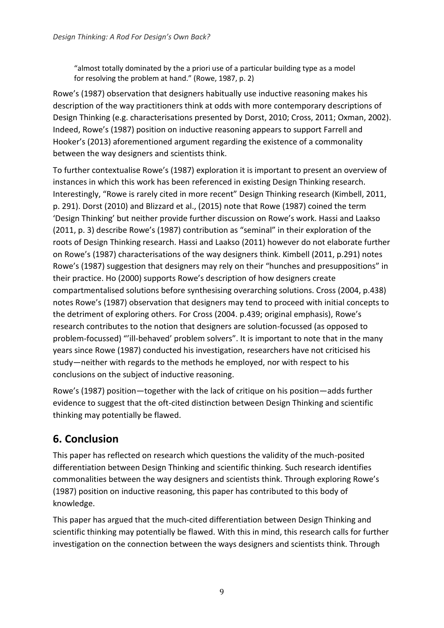"almost totally dominated by the a priori use of a particular building type as a model for resolving the problem at hand." (Rowe, 1987, p. 2)

Rowe's (1987) observation that designers habitually use inductive reasoning makes his description of the way practitioners think at odds with more contemporary descriptions of Design Thinking (e.g. characterisations presented by Dorst, 2010; Cross, 2011; Oxman, 2002). Indeed, Rowe's (1987) position on inductive reasoning appears to support Farrell and Hooker's (2013) aforementioned argument regarding the existence of a commonality between the way designers and scientists think.

To further contextualise Rowe's (1987) exploration it is important to present an overview of instances in which this work has been referenced in existing Design Thinking research. Interestingly, "Rowe is rarely cited in more recent" Design Thinking research (Kimbell, 2011, p. 291). Dorst (2010) and Blizzard et al., (2015) note that Rowe (1987) coined the term 'Design Thinking' but neither provide further discussion on Rowe's work. Hassi and Laakso (2011, p. 3) describe Rowe's (1987) contribution as "seminal" in their exploration of the roots of Design Thinking research. Hassi and Laakso (2011) however do not elaborate further on Rowe's (1987) characterisations of the way designers think. Kimbell (2011, p.291) notes Rowe's (1987) suggestion that designers may rely on their "hunches and presuppositions" in their practice. Ho (2000) supports Rowe's description of how designers create compartmentalised solutions before synthesising overarching solutions. Cross (2004, p.438) notes Rowe's (1987) observation that designers may tend to proceed with initial concepts to the detriment of exploring others. For Cross (2004. p.439; original emphasis), Rowe's research contributes to the notion that designers are solution-focussed (as opposed to problem-focussed) "'ill-behaved' problem solvers". It is important to note that in the many years since Rowe (1987) conducted his investigation, researchers have not criticised his study—neither with regards to the methods he employed, nor with respect to his conclusions on the subject of inductive reasoning.

Rowe's (1987) position—together with the lack of critique on his position—adds further evidence to suggest that the oft-cited distinction between Design Thinking and scientific thinking may potentially be flawed.

### **6. Conclusion**

This paper has reflected on research which questions the validity of the much-posited differentiation between Design Thinking and scientific thinking. Such research identifies commonalities between the way designers and scientists think. Through exploring Rowe's (1987) position on inductive reasoning, this paper has contributed to this body of knowledge.

This paper has argued that the much-cited differentiation between Design Thinking and scientific thinking may potentially be flawed. With this in mind, this research calls for further investigation on the connection between the ways designers and scientists think. Through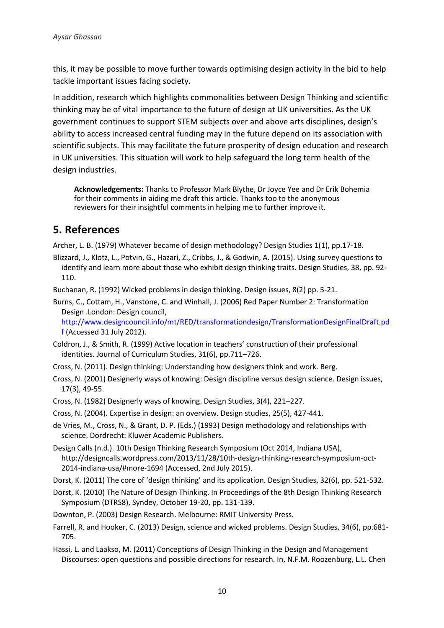this, it may be possible to move further towards optimising design activity in the bid to help tackle important issues facing society.

In addition, research which highlights commonalities between Design Thinking and scientific thinking may be of vital importance to the future of design at UK universities. As the UK government continues to support STEM subjects over and above arts disciplines, design's ability to access increased central funding may in the future depend on its association with scientific subjects. This may facilitate the future prosperity of design education and research in UK universities. This situation will work to help safeguard the long term health of the design industries.

**Acknowledgements:** Thanks to Professor Mark Blythe, Dr Joyce Yee and Dr Erik Bohemia for their comments in aiding me draft this article. Thanks too to the anonymous reviewers for their insightful comments in helping me to further improve it.

#### **5. References**

Archer, L. B. (1979) Whatever became of design methodology? Design Studies 1(1), pp.17-18.

Blizzard, J., Klotz, L., Potvin, G., Hazari, Z., Cribbs, J., & Godwin, A. (2015). Using survey questions to identify and learn more about those who exhibit design thinking traits. Design Studies, 38, pp. 92- 110.

Buchanan, R. (1992) Wicked problems in design thinking. Design issues, 8(2) pp. 5-21.

Burns, C., Cottam, H., Vanstone, C. and Winhall, J. (2006) Red Paper Number 2: Transformation Design .London: Design council,

[http://www.designcouncil.info/mt/RED/transformationdesign/TransformationDesignFinalDraft.pd](http://www.designcouncil.info/mt/RED/transformationdesign/TransformationDesignFinalDraft.pdf) [f](http://www.designcouncil.info/mt/RED/transformationdesign/TransformationDesignFinalDraft.pdf) (Accessed 31 July 2012).

- Coldron, J., & Smith, R. (1999) Active location in teachers' construction of their professional identities. Journal of Curriculum Studies, 31(6), pp.711–726.
- Cross, N. (2011). Design thinking: Understanding how designers think and work. Berg.
- Cross, N. (2001) Designerly ways of knowing: Design discipline versus design science. Design issues, 17(3), 49-55.
- Cross, N. (1982) Designerly ways of knowing. Design Studies, 3(4), 221–227.
- Cross, N. (2004). Expertise in design: an overview. Design studies, 25(5), 427-441.
- de Vries, M., Cross, N., & Grant, D. P. (Eds.) (1993) Design methodology and relationships with science. Dordrecht: Kluwer Academic Publishers.
- Design Calls (n.d.). 10th Design Thinking Research Symposium (Oct 2014, Indiana USA), [http://designcalls.wordpress.com/2013/11/28/10th-design-thinking-research-symposium-oct-](http://designcalls.wordpress.com/2013/11/28/10th-design-thinking-research-symposium-oct-2014-indiana-usa/#more-1694)[2014-indiana-usa/#more-1694](http://designcalls.wordpress.com/2013/11/28/10th-design-thinking-research-symposium-oct-2014-indiana-usa/#more-1694) (Accessed, 2nd July 2015).
- Dorst, K. (2011) The core of 'design thinking' and its application. Design Studies, 32(6), pp. 521-532.
- Dorst, K. (2010) The Nature of Design Thinking. In Proceedings of the 8th Design Thinking Research Symposium (DTRS8), Syndey, October 19-20, pp. 131-139.
- Downton, P. (2003) Design Research. Melbourne: RMIT University Press.
- Farrell, R. and Hooker, C. (2013) Design, science and wicked problems. Design Studies, 34(6), pp.681- 705.
- Hassi, L. and Laakso, M. (2011) Conceptions of Design Thinking in the Design and Management Discourses: open questions and possible directions for research. In, N.F.M. Roozenburg, L.L. Chen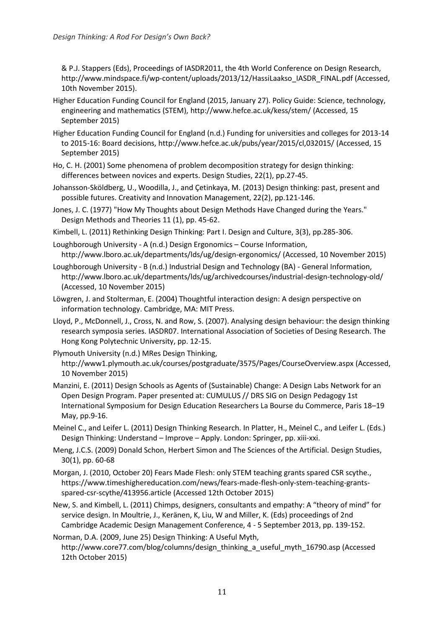& P.J. Stappers (Eds), Proceedings of IASDR2011, the 4th World Conference on Design Research, [http://www.mindspace.fi/wp-content/uploads/2013/12/HassiLaakso\\_IASDR\\_FINAL.pdf](http://www.mindspace.fi/wp-content/uploads/2013/12/HassiLaakso_IASDR_FINAL.pdf) (Accessed, 10th November 2015).

- Higher Education Funding Council for England (2015, January 27). Policy Guide: Science, technology, engineering and mathematics (STEM),<http://www.hefce.ac.uk/kess/stem/> (Accessed, 15 September 2015)
- Higher Education Funding Council for England (n.d.) Funding for universities and colleges for 2013-14 to 2015-16: Board decisions,<http://www.hefce.ac.uk/pubs/year/2015/cl,032015/> (Accessed, 15 September 2015)
- Ho, C. H. (2001) Some phenomena of problem decomposition strategy for design thinking: differences between novices and experts. Design Studies, 22(1), pp.27-45.
- Johansson‐Sköldberg, U., Woodilla, J., and Çetinkaya, M. (2013) Design thinking: past, present and possible futures. Creativity and Innovation Management, 22(2), pp.121-146.
- Jones, J. C. (1977) "How My Thoughts about Design Methods Have Changed during the Years." Design Methods and Theories 11 (1), pp. 45-62.
- Kimbell, L. (2011) Rethinking Design Thinking: Part I. Design and Culture, 3(3), pp.285-306.
- Loughborough University A (n.d.) Design Ergonomics Course Information, <http://www.lboro.ac.uk/departments/lds/ug/design-ergonomics/> (Accessed, 10 November 2015)
- Loughborough University B (n.d.) Industrial Design and Technology (BA) General Information, <http://www.lboro.ac.uk/departments/lds/ug/archivedcourses/industrial-design-technology-old/> (Accessed, 10 November 2015)
- Löwgren, J. and Stolterman, E. (2004) Thoughtful interaction design: A design perspective on information technology. Cambridge, MA: MIT Press.
- Lloyd, P., McDonnell, J., Cross, N. and Row, S. (2007). Analysing design behaviour: the design thinking research symposia series. IASDR07. International Association of Societies of Desing Research. The Hong Kong Polytechnic University, pp. 12-15.
- Plymouth University (n.d.) MRes Design Thinking, <http://www1.plymouth.ac.uk/courses/postgraduate/3575/Pages/CourseOverview.aspx> (Accessed, 10 November 2015)
- Manzini, E. (2011) Design Schools as Agents of (Sustainable) Change: A Design Labs Network for an Open Design Program. Paper presented at: CUMULUS // DRS SIG on Design Pedagogy 1st International Symposium for Design Education Researchers La Bourse du Commerce, Paris 18–19 May, pp.9-16.
- Meinel C., and Leifer L. (2011) Design Thinking Research. In Platter, H., Meinel C., and Leifer L. (Eds.) Design Thinking: Understand – Improve – Apply. London: Springer, pp. xiii-xxi.
- Meng, J.C.S. (2009) Donald Schon, Herbert Simon and The Sciences of the Artificial. Design Studies, 30(1), pp. 60-68
- Morgan, J. (2010, October 20) Fears Made Flesh: only STEM teaching grants spared CSR scythe., [https://www.timeshighereducation.com/news/fears-made-flesh-only-stem-teaching-grants](https://www.timeshighereducation.com/news/fears-made-flesh-only-stem-teaching-grants-spared-csr-scythe/413956.article)[spared-csr-scythe/413956.article](https://www.timeshighereducation.com/news/fears-made-flesh-only-stem-teaching-grants-spared-csr-scythe/413956.article) (Accessed 12th October 2015)
- New, S. and Kimbell, L. (2011) Chimps, designers, consultants and empathy: A "theory of mind" for service design. In Moultrie, J., Keränen, K, Liu, W and Miller, K. (Eds) proceedings of 2nd Cambridge Academic Design Management Conference, 4 - 5 September 2013, pp. 139-152.
- Norman, D.A. (2009, June 25) Design Thinking: A Useful Myth, [http://www.core77.com/blog/columns/design\\_thinking\\_a\\_useful\\_myth\\_16790.asp](http://www.core77.com/blog/columns/design_thinking_a_useful_myth_16790.asp) (Accessed 12th October 2015)